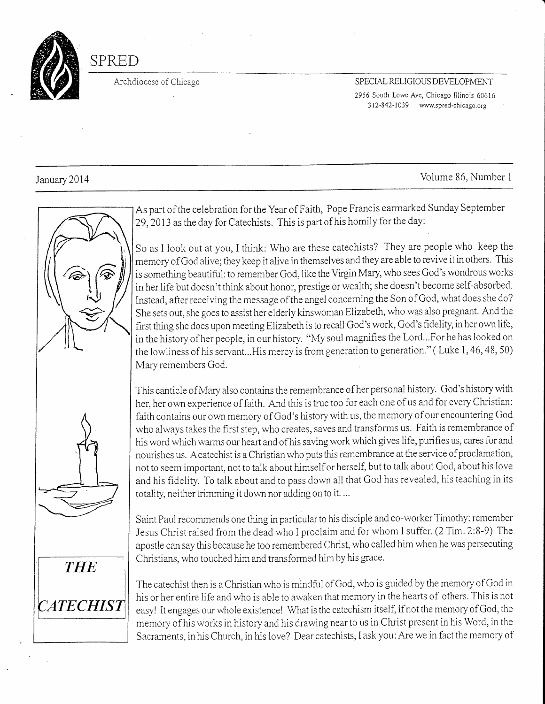

# SPRED

#### Archdiocese of Chicago SPECIAL RELIGIOUS DEVELOPMENT 2956 South Lowe Ave, Chicago Illinois 60616 312-842-1039 www.spred-chicago.org

## January 2014 Volume 86, Number 1



As part of the celebration for the Year of Faith, Pope Francis earmarked Sunday September 29,2013 as the day for Catechists. This is part of his homily for the day:

So as I look out at you, I think: Who are these catechists? They are people who keep the memory of God alive; they keep it alive in themselves and they are able to revive it in others. This is something beautiful: to remember God, like the Virgin Mary, who sees God's wondrous works in her life but doesn't think about honor, prestige or wealth; she doesn't become self-absorbed. Instead, after receiving the message of the angel concerning the Son of God, what does she do? She sets out, she goes to assist her elderly kinswoman Elizabeth, who was also pregnant. And the first thing she does upon meeting Elizabeth is to recall God's work, God's fidelity, in her own life, in the history of her people, in our history. "My soul magnifies the Lord...For he has looked on the lowliness of his servant...His mercy is from generation to generation." (Luke 1, 46, 48, 50) Mary remembers God.

Thjs canticle of Mary also contains the remembrance of her personal history. God's history with her, her own experience of faith. And this is true too for each one of us and for every Christian: faith contains our own memory of God's history with us, the memory of our encountering God who always takes the first step, who creates, saves and transforms us. Faith is remembrance of his word which warms our heart and ofhis saving work which gives life, purifies us, cares for and nourishes us. A catechist is a Christian who puts this remembrance at the service of proclamation, not to seem important, not to talk about himself or herself, but to talk about God, about his love and his fidelity. To talk about and to pass down all that God has revealed, his teaching in its totality, neither trimming it down nor adding on to it. ...

Saint Paul recommends one thing in particular to his disciple and co-worker Timothy: remember Jesus Christ raised from the dead who I proclaim and for whom I suffer. (2 Tim. 2.B-9) The apostle can say this because he too remembered Christ, who called him when he was persecuting Christians, who touched him and transformed him by his grace.

**THE CATECHIST** 

The catechist then is a Christian who is mindful of God, who is guided by the memory of God in. his or her entire life and who is able to awaken that memory in the hearts of others. This is not easy! It engages our whole existence! What is the catechism itself, if not the memory of God, the memory of his works in history and his drawing nearto us in Christ present in his Word, in the Sacraments, inhis Church, in his love? Dear catechists, I ask you:Are we in fact the memory of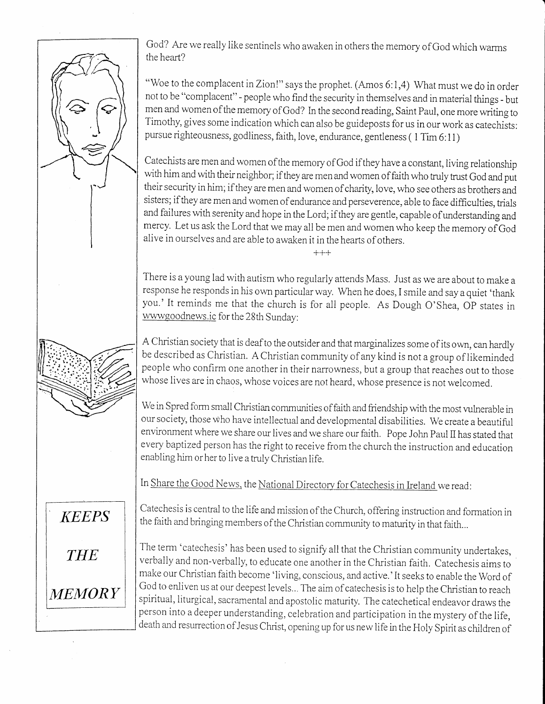**KEEPS THE** *MEMORY* 

God? Are we really like sentinels who awaken in others the memory of God which warms the heart?

"Woe to the complacent in Zion!" says the prophet. (Amos 6:1,4) What must we do in order not to be "complacent" - people who find the secwity in themselves and in material things - but men and women of the memory of God? In the second reading, Saint Paul, one more writing to Timothy, gives some indication which can also be guideposts for us in our work as catechists: pursue righteousness, godliness, faith, love, endurance, gentleness (1 Tim 6:11)

Catechists are men and women of the memory of God if they have a constant, living relationship with him and with their neighbor; if they are men and women of faith who truly trust God and put their security in him; ifthey are men and women of charity, love, who see others as brothers and sisters; if they are men and women of endurance and perseverence, able to face difficulties, trials and failures with serenity and hope in the Lord; if they are gentle, capable of understanding and mercy. Let us ask the Lord that we may all be men and women who keep the memory of God alive in ourselves and are able to awaken it in the hearts of others.

+++

There is a young lad with autism who regularly aftends Mass. Just as we are about to make a response he responds in his own particular way. When he does, I smile and say a quiet 'thank you.'It reminds me that the church is for all people. As Dough O'Shea, OP states in wwwgoodnews.ic for the 28th Sunday:

A Christian society that is deaf to the outsider and that marginalizes some of its own, can hardly be described as Christian. A Christian community of any kind is not a group of likeminded people who confirm one another in their narrowness, but a group that reaches out to those whose lives are in chaos, whose voices are not heard, whose presence is not welcomed.

We in Spred form small Christian communities of faith and friendship with the most vulnerable in our society, those Who have intellectual and developmental disabilities. We create a beautiful environment where we share ow lives and we share our faith. Pope John Paul iI has stated that every baptized person has the right to receive from the church the instruction and education enabling him orher to live atruly Christian life.

In Share the Good News, the National Directory for Catechesis in Ireland we read:

Catechesis is central to the life and mission of the Church, offering instruction and formation in the faith and bringing members of the Christian community to maturity in that faith...

The term 'catechesis' has been used to signify all that the Christian community undertakes, verbally and non-verbally, to educate one another in the Christian faith. Catechesis aims to make our Christian faith become 'living, conscious, and active.' It seeks to enable the Word of God to enliven us at our deepest levels... The aim of catechesis is to help the Christian to reach spiritual, liturgical, sacramental and apostolic maturity. The catechetical endeavor draws the person into a deeper understanding, celebration and participation in the mystery of the life, death and resurrection of Jesus Christ, opening up for us new life in the Holy Spirit as children of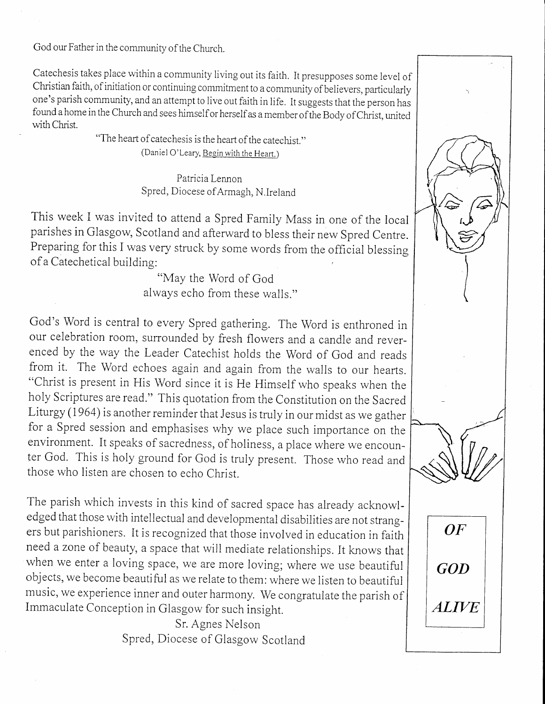God our Father in the community of the Church.

Catechesis takes place within a community living out its faith. It presupposes some level of Christian faith, of initiation or continuing commitment to a community of believers, particularly one's parish community, and an attempt to live out faith in life. It suggests that the person has found a home in the Church and sees himself or herself as a member of the Body of Christ. united with Christ.

> "The heart of catechesis is the heart of the catechist." (Daniel O'Leary, Begin with the Heart.)

> > Patricia Lennon Spred, Diocese ofArmagh, N.lreland

This week I was invited to attend a Spred Family Mass in one of the local parishes in Glasgow, Scotland and afterward to bless their new Spred Centre. Preparing for this I was very struck by some words from the official blessing of a Catecheticai building:

"May the Word of God<br>always echo from these walls."

God's Word is central to every Spred gathering. The Word is enthroned in our celebration room, surrounded by fresh flowers and a candle and reverenced by the way the Leader Catechist holds the Word of God and reads from it. The Word echoes again and again from the walls to our hearts. "Christ is present in His Word since it is He Himself who speaks when the holy Scriptures are read." This quotation from the Constitution on the Sacred Liturgy (1964) is another remjnder that Jesus is truly in our midst as we gather for a Spred session and emphasises why we place such importance on the environment. It speaks of sacredness, of holiness, a place where we encounter God. This is holy ground for God is truly present. Those who read and those who listen are chosen to echo Christ.

The parish which invests in this kind of sacred space has already acknowledged that those with intellectual and developmental disabilities are not strangers but parishioners. It is recognized that those involved in education in faith need a zone of beauty, a space that will mediate relationships. It knows that when we enter a loving space, we are more loving; where we use beautiful objects, we become beautiful as we relate to them: where we listen to beautiful music, we experience inner and outer harmony. We congratulate the parish of Immaculate conception in Glasgow for such insight.

> Sr. Agnes Nelson Spred, Diocese of Glasgow Scotland